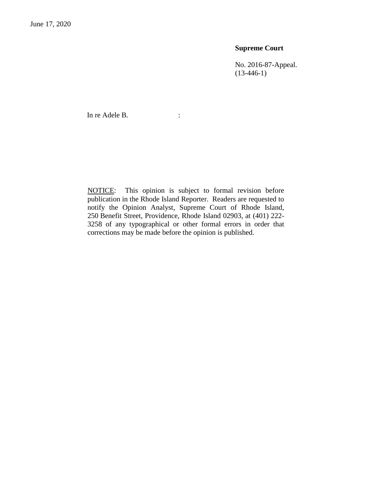## **Supreme Court**

No. 2016-87-Appeal.  $(13-446-1)$ 

In re Adele B.  $\qquad \qquad$ :

NOTICE: This opinion is subject to formal revision before publication in the Rhode Island Reporter. Readers are requested to notify the Opinion Analyst, Supreme Court of Rhode Island, 250 Benefit Street, Providence, Rhode Island 02903, at (401) 222- 3258 of any typographical or other formal errors in order that corrections may be made before the opinion is published.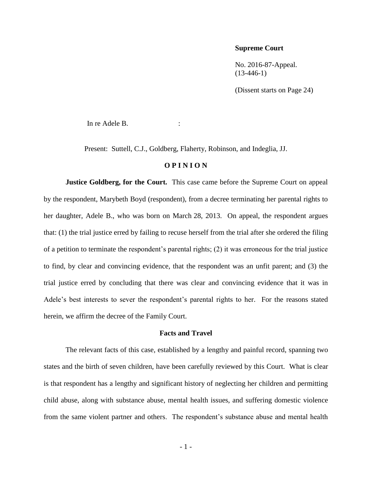### **Supreme Court**

No. 2016-87-Appeal. (13-446-1)

(Dissent starts on Page 24)

In re Adele B.

Present: Suttell, C.J., Goldberg, Flaherty, Robinson, and Indeglia, JJ.

#### **O P I N I O N**

**Justice Goldberg, for the Court.** This case came before the Supreme Court on appeal by the respondent, Marybeth Boyd (respondent), from a decree terminating her parental rights to her daughter, Adele B., who was born on March 28, 2013. On appeal, the respondent argues that: (1) the trial justice erred by failing to recuse herself from the trial after she ordered the filing of a petition to terminate the respondent's parental rights; (2) it was erroneous for the trial justice to find, by clear and convincing evidence, that the respondent was an unfit parent; and (3) the trial justice erred by concluding that there was clear and convincing evidence that it was in Adele's best interests to sever the respondent's parental rights to her. For the reasons stated herein, we affirm the decree of the Family Court.

#### **Facts and Travel**

The relevant facts of this case, established by a lengthy and painful record, spanning two states and the birth of seven children, have been carefully reviewed by this Court. What is clear is that respondent has a lengthy and significant history of neglecting her children and permitting child abuse, along with substance abuse, mental health issues, and suffering domestic violence from the same violent partner and others. The respondent's substance abuse and mental health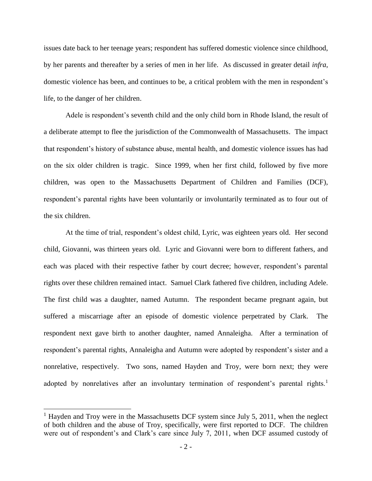issues date back to her teenage years; respondent has suffered domestic violence since childhood, by her parents and thereafter by a series of men in her life. As discussed in greater detail *infra*, domestic violence has been, and continues to be, a critical problem with the men in respondent's life, to the danger of her children.

Adele is respondent's seventh child and the only child born in Rhode Island, the result of a deliberate attempt to flee the jurisdiction of the Commonwealth of Massachusetts. The impact that respondent's history of substance abuse, mental health, and domestic violence issues has had on the six older children is tragic. Since 1999, when her first child, followed by five more children, was open to the Massachusetts Department of Children and Families (DCF), respondent's parental rights have been voluntarily or involuntarily terminated as to four out of the six children.

At the time of trial, respondent's oldest child, Lyric, was eighteen years old. Her second child, Giovanni, was thirteen years old. Lyric and Giovanni were born to different fathers, and each was placed with their respective father by court decree; however, respondent's parental rights over these children remained intact. Samuel Clark fathered five children, including Adele. The first child was a daughter, named Autumn. The respondent became pregnant again, but suffered a miscarriage after an episode of domestic violence perpetrated by Clark. The respondent next gave birth to another daughter, named Annaleigha. After a termination of respondent's parental rights, Annaleigha and Autumn were adopted by respondent's sister and a nonrelative, respectively. Two sons, named Hayden and Troy, were born next; they were adopted by nonrelatives after an involuntary termination of respondent's parental rights.<sup>1</sup>

<sup>&</sup>lt;sup>1</sup> Hayden and Troy were in the Massachusetts DCF system since July 5, 2011, when the neglect of both children and the abuse of Troy, specifically, were first reported to DCF. The children were out of respondent's and Clark's care since July 7, 2011, when DCF assumed custody of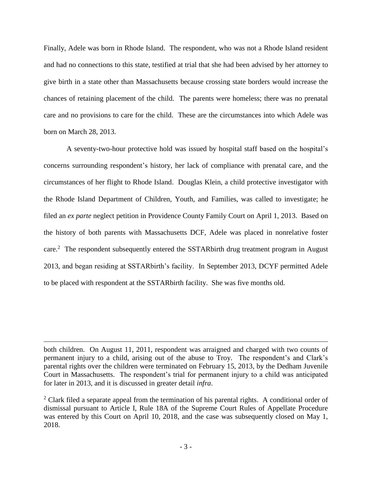Finally, Adele was born in Rhode Island. The respondent, who was not a Rhode Island resident and had no connections to this state, testified at trial that she had been advised by her attorney to give birth in a state other than Massachusetts because crossing state borders would increase the chances of retaining placement of the child. The parents were homeless; there was no prenatal care and no provisions to care for the child. These are the circumstances into which Adele was born on March 28, 2013.

A seventy-two-hour protective hold was issued by hospital staff based on the hospital's concerns surrounding respondent's history, her lack of compliance with prenatal care, and the circumstances of her flight to Rhode Island. Douglas Klein, a child protective investigator with the Rhode Island Department of Children, Youth, and Families, was called to investigate; he filed an *ex parte* neglect petition in Providence County Family Court on April 1, 2013. Based on the history of both parents with Massachusetts DCF, Adele was placed in nonrelative foster care.<sup>2</sup> The respondent subsequently entered the SSTAR birth drug treatment program in August 2013, and began residing at SSTARbirth's facility. In September 2013, DCYF permitted Adele to be placed with respondent at the SSTARbirth facility. She was five months old.

both children. On August 11, 2011, respondent was arraigned and charged with two counts of permanent injury to a child, arising out of the abuse to Troy. The respondent's and Clark's parental rights over the children were terminated on February 15, 2013, by the Dedham Juvenile Court in Massachusetts. The respondent's trial for permanent injury to a child was anticipated for later in 2013, and it is discussed in greater detail *infra*.

<sup>&</sup>lt;sup>2</sup> Clark filed a separate appeal from the termination of his parental rights. A conditional order of dismissal pursuant to Article I, Rule 18A of the Supreme Court Rules of Appellate Procedure was entered by this Court on April 10, 2018, and the case was subsequently closed on May 1, 2018.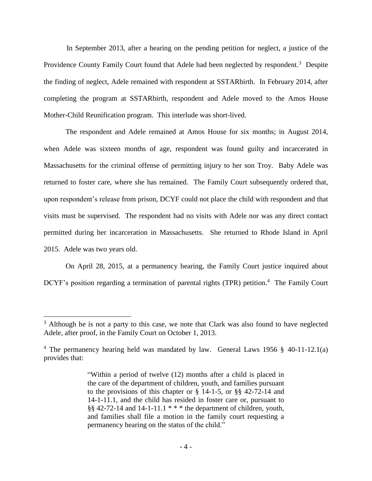In September 2013, after a hearing on the pending petition for neglect, a justice of the Providence County Family Court found that Adele had been neglected by respondent.<sup>3</sup> Despite the finding of neglect, Adele remained with respondent at SSTARbirth. In February 2014, after completing the program at SSTARbirth, respondent and Adele moved to the Amos House Mother-Child Reunification program. This interlude was short-lived.

The respondent and Adele remained at Amos House for six months; in August 2014, when Adele was sixteen months of age, respondent was found guilty and incarcerated in Massachusetts for the criminal offense of permitting injury to her son Troy. Baby Adele was returned to foster care, where she has remained. The Family Court subsequently ordered that, upon respondent's release from prison, DCYF could not place the child with respondent and that visits must be supervised. The respondent had no visits with Adele nor was any direct contact permitted during her incarceration in Massachusetts. She returned to Rhode Island in April 2015. Adele was two years old.

On April 28, 2015, at a permanency hearing, the Family Court justice inquired about DCYF's position regarding a termination of parental rights (TPR) petition.<sup>4</sup> The Family Court

 $3$  Although he is not a party to this case, we note that Clark was also found to have neglected Adele, after proof, in the Family Court on October 1, 2013.

<sup>4</sup> The permanency hearing held was mandated by law. General Laws 1956 § 40-11-12.1(a) provides that:

<sup>&</sup>quot;Within a period of twelve (12) months after a child is placed in the care of the department of children, youth, and families pursuant to the provisions of this chapter or [§ 14-1-5,](https://1.next.westlaw.com/Link/Document/FullText?findType=L&pubNum=1000038&cite=RISTS14-1-5&originatingDoc=N4CA5C4F033E211DCA31EE572C0396B40&refType=LQ&originationContext=document&transitionType=DocumentItem&contextData=(sc.DocLink)) or [§§ 42-72-14](https://1.next.westlaw.com/Link/Document/FullText?findType=L&pubNum=1000038&cite=RISTS42-72-14&originatingDoc=N4CA5C4F033E211DCA31EE572C0396B40&refType=LQ&originationContext=document&transitionType=DocumentItem&contextData=(sc.DocLink)) and [14-1-11.1,](https://1.next.westlaw.com/Link/Document/FullText?findType=L&pubNum=1000038&cite=RISTS14-1-11.1&originatingDoc=N4CA5C4F033E211DCA31EE572C0396B40&refType=LQ&originationContext=document&transitionType=DocumentItem&contextData=(sc.DocLink)) and the child has resided in foster care or, pursuant to [§§ 42-72-14](https://1.next.westlaw.com/Link/Document/FullText?findType=L&pubNum=1000038&cite=RISTS42-72-14&originatingDoc=N4CA5C4F033E211DCA31EE572C0396B40&refType=LQ&originationContext=document&transitionType=DocumentItem&contextData=(sc.DocLink)) and [14-1-11.1](https://1.next.westlaw.com/Link/Document/FullText?findType=L&pubNum=1000038&cite=RISTS14-1-11.1&originatingDoc=N4CA5C4F033E211DCA31EE572C0396B40&refType=LQ&originationContext=document&transitionType=DocumentItem&contextData=(sc.DocLink))  $***$  the department of children, youth, and families shall file a motion in the family court requesting a permanency hearing on the status of the child."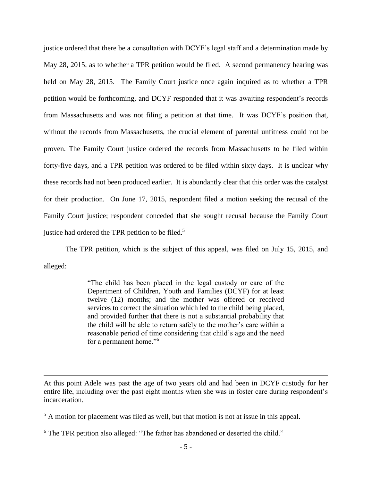justice ordered that there be a consultation with DCYF's legal staff and a determination made by May 28, 2015, as to whether a TPR petition would be filed. A second permanency hearing was held on May 28, 2015. The Family Court justice once again inquired as to whether a TPR petition would be forthcoming, and DCYF responded that it was awaiting respondent's records from Massachusetts and was not filing a petition at that time. It was DCYF's position that, without the records from Massachusetts, the crucial element of parental unfitness could not be proven. The Family Court justice ordered the records from Massachusetts to be filed within forty-five days, and a TPR petition was ordered to be filed within sixty days. It is unclear why these records had not been produced earlier. It is abundantly clear that this order was the catalyst for their production. On June 17, 2015, respondent filed a motion seeking the recusal of the Family Court justice; respondent conceded that she sought recusal because the Family Court justice had ordered the TPR petition to be filed.<sup>5</sup>

The TPR petition, which is the subject of this appeal, was filed on July 15, 2015, and alleged:

> "The child has been placed in the legal custody or care of the Department of Children, Youth and Families (DCYF) for at least twelve (12) months; and the mother was offered or received services to correct the situation which led to the child being placed, and provided further that there is not a substantial probability that the child will be able to return safely to the mother's care within a reasonable period of time considering that child's age and the need for a permanent home."<sup>6</sup>

At this point Adele was past the age of two years old and had been in DCYF custody for her entire life, including over the past eight months when she was in foster care during respondent's incarceration.

<sup>&</sup>lt;sup>5</sup> A motion for placement was filed as well, but that motion is not at issue in this appeal.

<sup>&</sup>lt;sup>6</sup> The TPR petition also alleged: "The father has abandoned or deserted the child."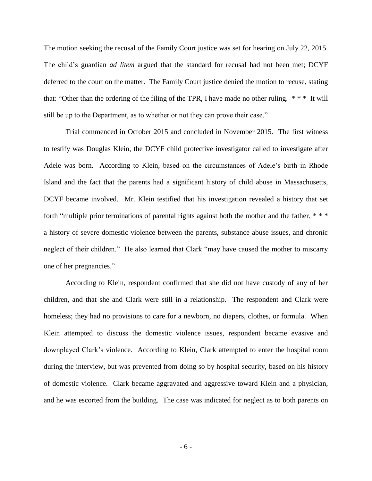The motion seeking the recusal of the Family Court justice was set for hearing on July 22, 2015. The child's guardian *ad litem* argued that the standard for recusal had not been met; DCYF deferred to the court on the matter. The Family Court justice denied the motion to recuse, stating that: "Other than the ordering of the filing of the TPR, I have made no other ruling. \* \* \* It will still be up to the Department, as to whether or not they can prove their case."

Trial commenced in October 2015 and concluded in November 2015. The first witness to testify was Douglas Klein, the DCYF child protective investigator called to investigate after Adele was born. According to Klein, based on the circumstances of Adele's birth in Rhode Island and the fact that the parents had a significant history of child abuse in Massachusetts, DCYF became involved. Mr. Klein testified that his investigation revealed a history that set forth "multiple prior terminations of parental rights against both the mother and the father, \* \* \* a history of severe domestic violence between the parents, substance abuse issues, and chronic neglect of their children." He also learned that Clark "may have caused the mother to miscarry one of her pregnancies."

According to Klein, respondent confirmed that she did not have custody of any of her children, and that she and Clark were still in a relationship. The respondent and Clark were homeless; they had no provisions to care for a newborn, no diapers, clothes, or formula. When Klein attempted to discuss the domestic violence issues, respondent became evasive and downplayed Clark's violence. According to Klein, Clark attempted to enter the hospital room during the interview, but was prevented from doing so by hospital security, based on his history of domestic violence. Clark became aggravated and aggressive toward Klein and a physician, and he was escorted from the building. The case was indicated for neglect as to both parents on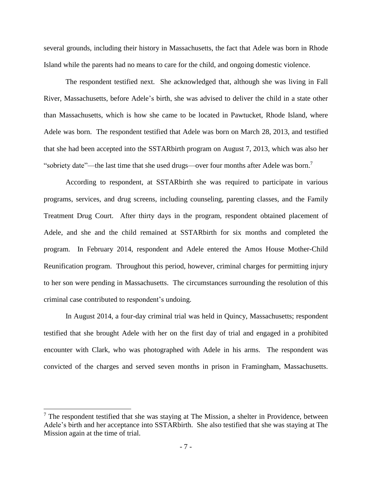several grounds, including their history in Massachusetts, the fact that Adele was born in Rhode Island while the parents had no means to care for the child, and ongoing domestic violence.

The respondent testified next. She acknowledged that, although she was living in Fall River, Massachusetts, before Adele's birth, she was advised to deliver the child in a state other than Massachusetts, which is how she came to be located in Pawtucket, Rhode Island, where Adele was born. The respondent testified that Adele was born on March 28, 2013, and testified that she had been accepted into the SSTARbirth program on August 7, 2013, which was also her "sobriety date"—the last time that she used drugs—over four months after Adele was born.<sup>7</sup>

According to respondent, at SSTARbirth she was required to participate in various programs, services, and drug screens, including counseling, parenting classes, and the Family Treatment Drug Court. After thirty days in the program, respondent obtained placement of Adele, and she and the child remained at SSTARbirth for six months and completed the program. In February 2014, respondent and Adele entered the Amos House Mother-Child Reunification program. Throughout this period, however, criminal charges for permitting injury to her son were pending in Massachusetts. The circumstances surrounding the resolution of this criminal case contributed to respondent's undoing.

In August 2014, a four-day criminal trial was held in Quincy, Massachusetts; respondent testified that she brought Adele with her on the first day of trial and engaged in a prohibited encounter with Clark, who was photographed with Adele in his arms. The respondent was convicted of the charges and served seven months in prison in Framingham, Massachusetts.

 $<sup>7</sup>$  The respondent testified that she was staying at The Mission, a shelter in Providence, between</sup> Adele's birth and her acceptance into SSTARbirth. She also testified that she was staying at The Mission again at the time of trial.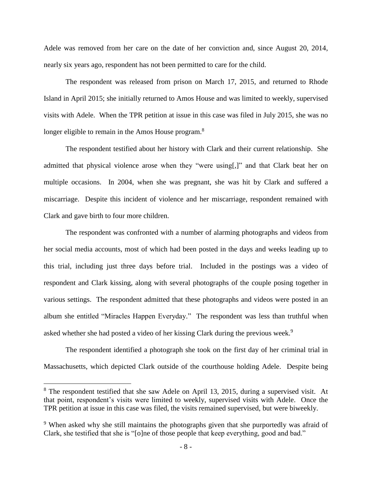Adele was removed from her care on the date of her conviction and, since August 20, 2014, nearly six years ago, respondent has not been permitted to care for the child.

The respondent was released from prison on March 17, 2015, and returned to Rhode Island in April 2015; she initially returned to Amos House and was limited to weekly, supervised visits with Adele. When the TPR petition at issue in this case was filed in July 2015, she was no longer eligible to remain in the Amos House program.<sup>8</sup>

The respondent testified about her history with Clark and their current relationship. She admitted that physical violence arose when they "were using[,]" and that Clark beat her on multiple occasions. In 2004, when she was pregnant, she was hit by Clark and suffered a miscarriage. Despite this incident of violence and her miscarriage, respondent remained with Clark and gave birth to four more children.

The respondent was confronted with a number of alarming photographs and videos from her social media accounts, most of which had been posted in the days and weeks leading up to this trial, including just three days before trial. Included in the postings was a video of respondent and Clark kissing, along with several photographs of the couple posing together in various settings. The respondent admitted that these photographs and videos were posted in an album she entitled "Miracles Happen Everyday." The respondent was less than truthful when asked whether she had posted a video of her kissing Clark during the previous week.<sup>9</sup>

The respondent identified a photograph she took on the first day of her criminal trial in Massachusetts, which depicted Clark outside of the courthouse holding Adele. Despite being

<sup>&</sup>lt;sup>8</sup> The respondent testified that she saw Adele on April 13, 2015, during a supervised visit. At that point, respondent's visits were limited to weekly, supervised visits with Adele. Once the TPR petition at issue in this case was filed, the visits remained supervised, but were biweekly.

<sup>&</sup>lt;sup>9</sup> When asked why she still maintains the photographs given that she purportedly was afraid of Clark, she testified that she is "[o]ne of those people that keep everything, good and bad."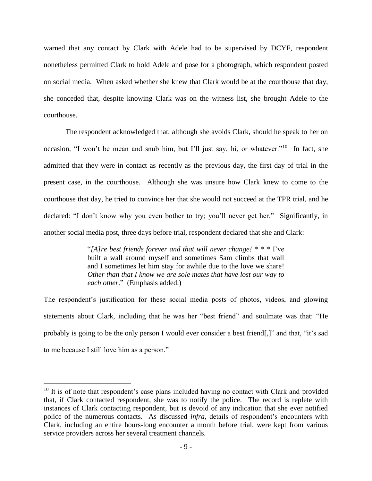warned that any contact by Clark with Adele had to be supervised by DCYF, respondent nonetheless permitted Clark to hold Adele and pose for a photograph, which respondent posted on social media. When asked whether she knew that Clark would be at the courthouse that day, she conceded that, despite knowing Clark was on the witness list, she brought Adele to the courthouse.

The respondent acknowledged that, although she avoids Clark, should he speak to her on occasion, "I won't be mean and snub him, but I'll just say, hi, or whatever."<sup>10</sup> In fact, she admitted that they were in contact as recently as the previous day, the first day of trial in the present case, in the courthouse. Although she was unsure how Clark knew to come to the courthouse that day, he tried to convince her that she would not succeed at the TPR trial, and he declared: "I don't know why you even bother to try; you'll never get her." Significantly, in another social media post, three days before trial, respondent declared that she and Clark:

> "*[A]re best friends forever and that will never change!* \* \* \* I've built a wall around myself and sometimes Sam climbs that wall and I sometimes let him stay for awhile due to the love we share! *Other than that I know we are sole mates that have lost our way to each other*." (Emphasis added.)

The respondent's justification for these social media posts of photos, videos, and glowing statements about Clark, including that he was her "best friend" and soulmate was that: "He probably is going to be the only person I would ever consider a best friend[,]" and that, "it's sad to me because I still love him as a person."

 $10$  It is of note that respondent's case plans included having no contact with Clark and provided that, if Clark contacted respondent, she was to notify the police. The record is replete with instances of Clark contacting respondent, but is devoid of any indication that she ever notified police of the numerous contacts. As discussed *infra*, details of respondent's encounters with Clark, including an entire hours-long encounter a month before trial, were kept from various service providers across her several treatment channels.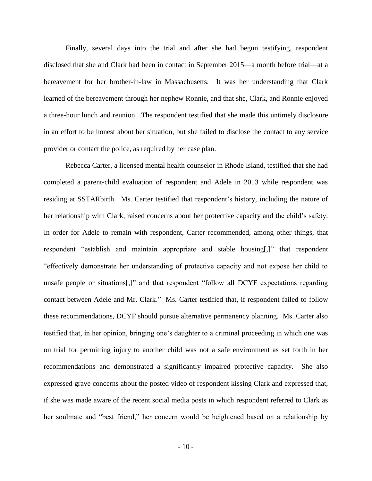Finally, several days into the trial and after she had begun testifying, respondent disclosed that she and Clark had been in contact in September 2015—a month before trial—at a bereavement for her brother-in-law in Massachusetts. It was her understanding that Clark learned of the bereavement through her nephew Ronnie, and that she, Clark, and Ronnie enjoyed a three-hour lunch and reunion. The respondent testified that she made this untimely disclosure in an effort to be honest about her situation, but she failed to disclose the contact to any service provider or contact the police, as required by her case plan.

Rebecca Carter, a licensed mental health counselor in Rhode Island, testified that she had completed a parent-child evaluation of respondent and Adele in 2013 while respondent was residing at SSTARbirth. Ms. Carter testified that respondent's history, including the nature of her relationship with Clark, raised concerns about her protective capacity and the child's safety. In order for Adele to remain with respondent, Carter recommended, among other things, that respondent "establish and maintain appropriate and stable housing[,]" that respondent "effectively demonstrate her understanding of protective capacity and not expose her child to unsafe people or situations[,]" and that respondent "follow all DCYF expectations regarding contact between Adele and Mr. Clark." Ms. Carter testified that, if respondent failed to follow these recommendations, DCYF should pursue alternative permanency planning. Ms. Carter also testified that, in her opinion, bringing one's daughter to a criminal proceeding in which one was on trial for permitting injury to another child was not a safe environment as set forth in her recommendations and demonstrated a significantly impaired protective capacity. She also expressed grave concerns about the posted video of respondent kissing Clark and expressed that, if she was made aware of the recent social media posts in which respondent referred to Clark as her soulmate and "best friend," her concern would be heightened based on a relationship by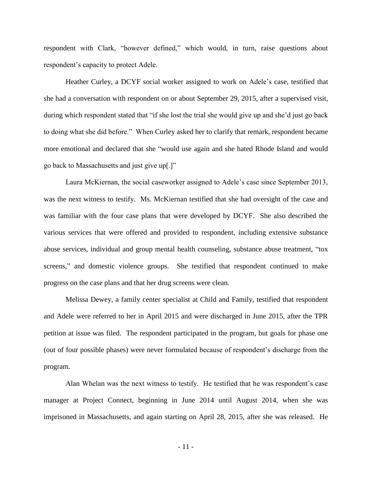respondent with Clark, "however defined," which would, in turn, raise questions about respondent's capacity to protect Adele.

Heather Curley, a DCYF social worker assigned to work on Adele's case, testified that she had a conversation with respondent on or about September 29, 2015, after a supervised visit, during which respondent stated that "if she lost the trial she would give up and she'd just go back to doing what she did before." When Curley asked her to clarify that remark, respondent became more emotional and declared that she "would use again and she hated Rhode Island and would go back to Massachusetts and just give up[.]"

Laura McKiernan, the social caseworker assigned to Adele's case since September 2013, was the next witness to testify. Ms. McKiernan testified that she had oversight of the case and was familiar with the four case plans that were developed by DCYF. She also described the various services that were offered and provided to respondent, including extensive substance abuse services, individual and group mental health counseling, substance abuse treatment, "tox screens," and domestic violence groups. She testified that respondent continued to make progress on the case plans and that her drug screens were clean.

Melissa Dewey, a family center specialist at Child and Family, testified that respondent and Adele were referred to her in April 2015 and were discharged in June 2015, after the TPR petition at issue was filed. The respondent participated in the program, but goals for phase one (out of four possible phases) were never formulated because of respondent's discharge from the program.

Alan Whelan was the next witness to testify. He testified that he was respondent's case manager at Project Connect, beginning in June 2014 until August 2014, when she was imprisoned in Massachusetts, and again starting on April 28, 2015, after she was released. He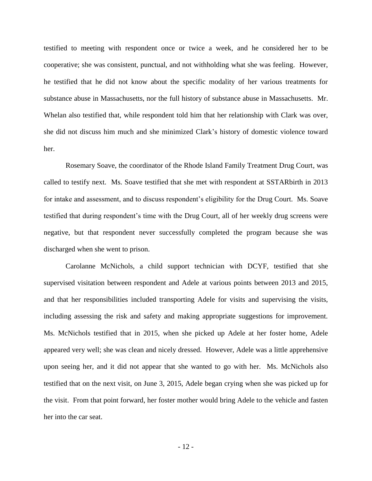testified to meeting with respondent once or twice a week, and he considered her to be cooperative; she was consistent, punctual, and not withholding what she was feeling. However, he testified that he did not know about the specific modality of her various treatments for substance abuse in Massachusetts, nor the full history of substance abuse in Massachusetts. Mr. Whelan also testified that, while respondent told him that her relationship with Clark was over, she did not discuss him much and she minimized Clark's history of domestic violence toward her.

Rosemary Soave, the coordinator of the Rhode Island Family Treatment Drug Court, was called to testify next. Ms. Soave testified that she met with respondent at SSTARbirth in 2013 for intake and assessment, and to discuss respondent's eligibility for the Drug Court. Ms. Soave testified that during respondent's time with the Drug Court, all of her weekly drug screens were negative, but that respondent never successfully completed the program because she was discharged when she went to prison.

Carolanne McNichols, a child support technician with DCYF, testified that she supervised visitation between respondent and Adele at various points between 2013 and 2015, and that her responsibilities included transporting Adele for visits and supervising the visits, including assessing the risk and safety and making appropriate suggestions for improvement. Ms. McNichols testified that in 2015, when she picked up Adele at her foster home, Adele appeared very well; she was clean and nicely dressed. However, Adele was a little apprehensive upon seeing her, and it did not appear that she wanted to go with her. Ms. McNichols also testified that on the next visit, on June 3, 2015, Adele began crying when she was picked up for the visit. From that point forward, her foster mother would bring Adele to the vehicle and fasten her into the car seat.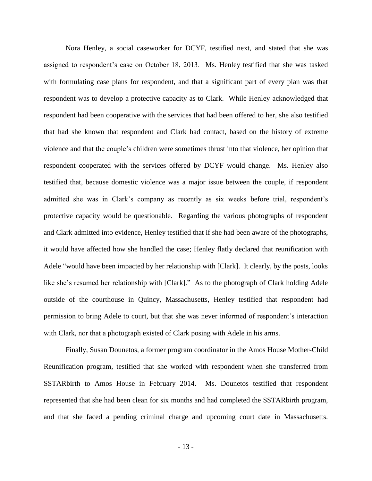Nora Henley, a social caseworker for DCYF, testified next, and stated that she was assigned to respondent's case on October 18, 2013. Ms. Henley testified that she was tasked with formulating case plans for respondent, and that a significant part of every plan was that respondent was to develop a protective capacity as to Clark. While Henley acknowledged that respondent had been cooperative with the services that had been offered to her, she also testified that had she known that respondent and Clark had contact, based on the history of extreme violence and that the couple's children were sometimes thrust into that violence, her opinion that respondent cooperated with the services offered by DCYF would change. Ms. Henley also testified that, because domestic violence was a major issue between the couple, if respondent admitted she was in Clark's company as recently as six weeks before trial, respondent's protective capacity would be questionable. Regarding the various photographs of respondent and Clark admitted into evidence, Henley testified that if she had been aware of the photographs, it would have affected how she handled the case; Henley flatly declared that reunification with Adele "would have been impacted by her relationship with [Clark]. It clearly, by the posts, looks like she's resumed her relationship with [Clark]." As to the photograph of Clark holding Adele outside of the courthouse in Quincy, Massachusetts, Henley testified that respondent had permission to bring Adele to court, but that she was never informed of respondent's interaction with Clark, nor that a photograph existed of Clark posing with Adele in his arms.

Finally, Susan Dounetos, a former program coordinator in the Amos House Mother-Child Reunification program, testified that she worked with respondent when she transferred from SSTARbirth to Amos House in February 2014. Ms. Dounetos testified that respondent represented that she had been clean for six months and had completed the SSTARbirth program, and that she faced a pending criminal charge and upcoming court date in Massachusetts.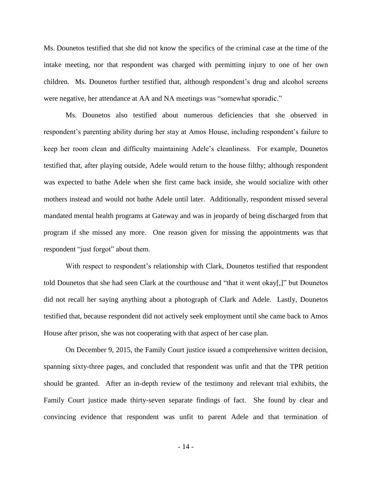Ms. Dounetos testified that she did not know the specifics of the criminal case at the time of the intake meeting, nor that respondent was charged with permitting injury to one of her own children. Ms. Dounetos further testified that, although respondent's drug and alcohol screens were negative, her attendance at AA and NA meetings was "somewhat sporadic."

Ms. Dounetos also testified about numerous deficiencies that she observed in respondent's parenting ability during her stay at Amos House, including respondent's failure to keep her room clean and difficulty maintaining Adele's cleanliness. For example, Dounetos testified that, after playing outside, Adele would return to the house filthy; although respondent was expected to bathe Adele when she first came back inside, she would socialize with other mothers instead and would not bathe Adele until later. Additionally, respondent missed several mandated mental health programs at Gateway and was in jeopardy of being discharged from that program if she missed any more. One reason given for missing the appointments was that respondent "just forgot" about them.

With respect to respondent's relationship with Clark, Dounetos testified that respondent told Dounetos that she had seen Clark at the courthouse and "that it went okay[,]" but Dounetos did not recall her saying anything about a photograph of Clark and Adele. Lastly, Dounetos testified that, because respondent did not actively seek employment until she came back to Amos House after prison, she was not cooperating with that aspect of her case plan.

On December 9, 2015, the Family Court justice issued a comprehensive written decision, spanning sixty-three pages, and concluded that respondent was unfit and that the TPR petition should be granted. After an in-depth review of the testimony and relevant trial exhibits, the Family Court justice made thirty-seven separate findings of fact. She found by clear and convincing evidence that respondent was unfit to parent Adele and that termination of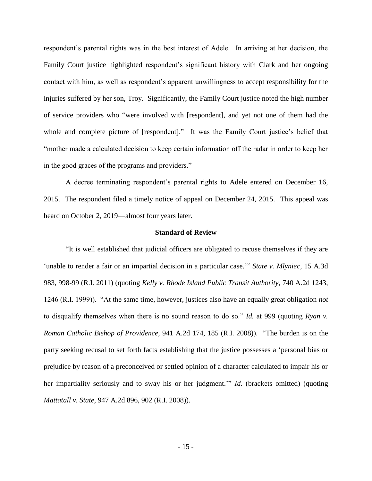respondent's parental rights was in the best interest of Adele. In arriving at her decision, the Family Court justice highlighted respondent's significant history with Clark and her ongoing contact with him, as well as respondent's apparent unwillingness to accept responsibility for the injuries suffered by her son, Troy. Significantly, the Family Court justice noted the high number of service providers who "were involved with [respondent], and yet not one of them had the whole and complete picture of [respondent]." It was the Family Court justice's belief that "mother made a calculated decision to keep certain information off the radar in order to keep her in the good graces of the programs and providers."

A decree terminating respondent's parental rights to Adele entered on December 16, 2015. The respondent filed a timely notice of appeal on December 24, 2015. This appeal was heard on October 2, 2019—almost four years later.

#### **Standard of Review**

"It is well established that judicial officers are obligated to recuse themselves if they are 'unable to render a fair or an impartial decision in a particular case.'" *State v. Mlyniec*, 15 A.3d 983, 998-99 (R.I. 2011) (quoting *Kelly v. Rhode Island Public Transit Authority*, 740 A.2d 1243, 1246 (R.I. 1999)). "At the same time, however, justices also have an equally great obligation *not* to disqualify themselves when there is no sound reason to do so." *Id.* at 999 (quoting *Ryan v. Roman Catholic Bishop of Providence*, 941 A.2d 174, 185 (R.I. 2008)). "The burden is on the party seeking recusal to set forth facts establishing that the justice possesses a 'personal bias or prejudice by reason of a preconceived or settled opinion of a character calculated to impair his or her impartiality seriously and to sway his or her judgment." *Id.* (brackets omitted) (quoting *Mattatall v. State*, 947 A.2d 896, 902 (R.I. 2008)).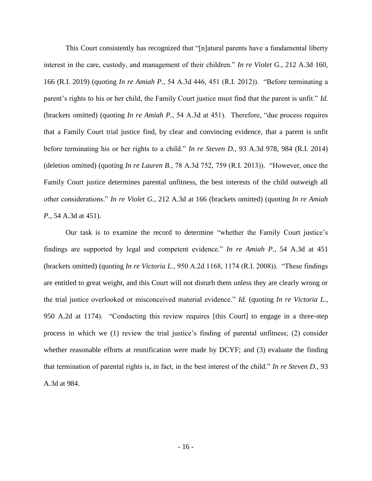This Court consistently has recognized that "[n]atural parents have a fundamental liberty interest in the care, custody, and management of their children." *In re Violet G.*, 212 A.3d 160, 166 (R.I. 2019) (quoting *In re Amiah P.*, 54 A.3d 446, 451 (R.I. 2012)). "Before terminating a parent's rights to his or her child, the Family Court justice must find that the parent is unfit." *Id.* (brackets omitted) (quoting *In re Amiah P.*, 54 A.3d at 451). Therefore, "due process requires that a Family Court trial justice find, by clear and convincing evidence, that a parent is unfit before terminating his or her rights to a child." *In re Steven D.*, 93 A.3d 978, 984 (R.I. 2014) (deletion omitted) (quoting *In re Lauren B.*, 78 A.3d 752, 759 (R.I. 2013)). "However, once the Family Court justice determines parental unfitness, the best interests of the child outweigh all other considerations." *In re Violet G.*, 212 A.3d at 166 (brackets omitted) (quoting *In re Amiah P.*, 54 A.3d at 451).

Our task is to examine the record to determine "whether the Family Court justice's findings are supported by legal and competent evidence." *In re Amiah P.*, 54 A.3d at 451 (brackets omitted) (quoting *In re Victoria L.*, 950 A.2d 1168, 1174 (R.I. 2008)). "These findings are entitled to great weight, and this Court will not disturb them unless they are clearly wrong or the trial justice overlooked or misconceived material evidence." *Id.* (quoting *In re Victoria L.*, 950 A.2d at 1174). "Conducting this review requires [this Court] to engage in a three-step process in which we (1) review the trial justice's finding of parental unfitness; (2) consider whether reasonable efforts at reunification were made by DCYF; and (3) evaluate the finding that termination of parental rights is, in fact, in the best interest of the child." *In re Steven D.*, 93 A.3d at 984.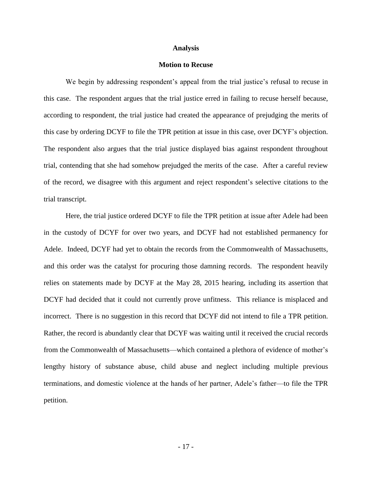#### **Analysis**

## **Motion to Recuse**

We begin by addressing respondent's appeal from the trial justice's refusal to recuse in this case. The respondent argues that the trial justice erred in failing to recuse herself because, according to respondent, the trial justice had created the appearance of prejudging the merits of this case by ordering DCYF to file the TPR petition at issue in this case, over DCYF's objection. The respondent also argues that the trial justice displayed bias against respondent throughout trial, contending that she had somehow prejudged the merits of the case. After a careful review of the record, we disagree with this argument and reject respondent's selective citations to the trial transcript.

Here, the trial justice ordered DCYF to file the TPR petition at issue after Adele had been in the custody of DCYF for over two years, and DCYF had not established permanency for Adele. Indeed, DCYF had yet to obtain the records from the Commonwealth of Massachusetts, and this order was the catalyst for procuring those damning records. The respondent heavily relies on statements made by DCYF at the May 28, 2015 hearing, including its assertion that DCYF had decided that it could not currently prove unfitness. This reliance is misplaced and incorrect. There is no suggestion in this record that DCYF did not intend to file a TPR petition. Rather, the record is abundantly clear that DCYF was waiting until it received the crucial records from the Commonwealth of Massachusetts—which contained a plethora of evidence of mother's lengthy history of substance abuse, child abuse and neglect including multiple previous terminations, and domestic violence at the hands of her partner, Adele's father—to file the TPR petition.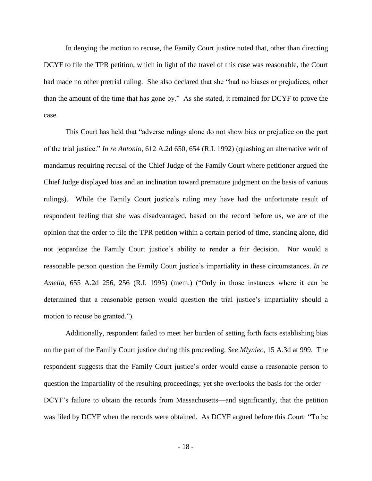In denying the motion to recuse, the Family Court justice noted that, other than directing DCYF to file the TPR petition, which in light of the travel of this case was reasonable, the Court had made no other pretrial ruling. She also declared that she "had no biases or prejudices, other than the amount of the time that has gone by." As she stated, it remained for DCYF to prove the case.

This Court has held that "adverse rulings alone do not show bias or prejudice on the part of the trial justice." *In re Antonio*, 612 A.2d 650, 654 (R.I. 1992) (quashing an alternative writ of mandamus requiring recusal of the Chief Judge of the Family Court where petitioner argued the Chief Judge displayed bias and an inclination toward premature judgment on the basis of various rulings). While the Family Court justice's ruling may have had the unfortunate result of respondent feeling that she was disadvantaged, based on the record before us, we are of the opinion that the order to file the TPR petition within a certain period of time, standing alone, did not jeopardize the Family Court justice's ability to render a fair decision. Nor would a reasonable person question the Family Court justice's impartiality in these circumstances. *In re Amelia*, 655 A.2d 256, 256 (R.I. 1995) (mem.) ("Only in those instances where it can be determined that a reasonable person would question the trial justice's impartiality should a motion to recuse be granted.").

Additionally, respondent failed to meet her burden of setting forth facts establishing bias on the part of the Family Court justice during this proceeding. *See Mlyniec*, 15 A.3d at 999. The respondent suggests that the Family Court justice's order would cause a reasonable person to question the impartiality of the resulting proceedings; yet she overlooks the basis for the order— DCYF's failure to obtain the records from Massachusetts—and significantly, that the petition was filed by DCYF when the records were obtained. As DCYF argued before this Court: "To be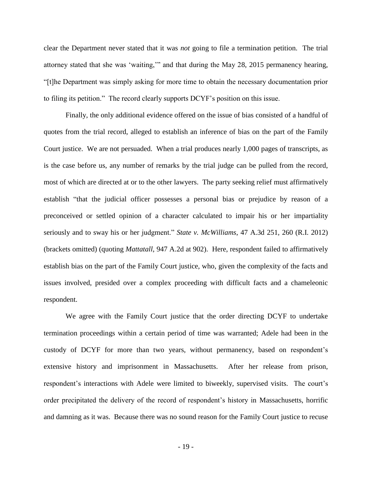clear the Department never stated that it was *not* going to file a termination petition. The trial attorney stated that she was 'waiting,'" and that during the May 28, 2015 permanency hearing, "[t]he Department was simply asking for more time to obtain the necessary documentation prior to filing its petition." The record clearly supports DCYF's position on this issue.

Finally, the only additional evidence offered on the issue of bias consisted of a handful of quotes from the trial record, alleged to establish an inference of bias on the part of the Family Court justice. We are not persuaded. When a trial produces nearly 1,000 pages of transcripts, as is the case before us, any number of remarks by the trial judge can be pulled from the record, most of which are directed at or to the other lawyers. The party seeking relief must affirmatively establish "that the judicial officer possesses a personal bias or prejudice by reason of a preconceived or settled opinion of a character calculated to impair his or her impartiality seriously and to sway his or her judgment." *State v. McWilliams*, 47 A.3d 251, 260 (R.I. 2012) (brackets omitted) (quoting *Mattatall*, 947 A.2d at 902).Here, respondent failed to affirmatively establish bias on the part of the Family Court justice, who, given the complexity of the facts and issues involved, presided over a complex proceeding with difficult facts and a chameleonic respondent.

We agree with the Family Court justice that the order directing DCYF to undertake termination proceedings within a certain period of time was warranted; Adele had been in the custody of DCYF for more than two years, without permanency, based on respondent's extensive history and imprisonment in Massachusetts. After her release from prison, respondent's interactions with Adele were limited to biweekly, supervised visits. The court's order precipitated the delivery of the record of respondent's history in Massachusetts, horrific and damning as it was. Because there was no sound reason for the Family Court justice to recuse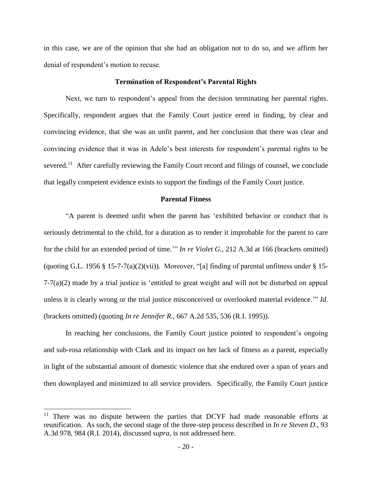in this case, we are of the opinion that she had an obligation not to do so, and we affirm her denial of respondent's motion to recuse.

#### **Termination of Respondent's Parental Rights**

Next, we turn to respondent's appeal from the decision terminating her parental rights. Specifically, respondent argues that the Family Court justice erred in finding, by clear and convincing evidence, that she was an unfit parent, and her conclusion that there was clear and convincing evidence that it was in Adele's best interests for respondent's parental rights to be severed.<sup>11</sup> After carefully reviewing the Family Court record and filings of counsel, we conclude that legally competent evidence exists to support the findings of the Family Court justice.

#### **Parental Fitness**

"A parent is deemed unfit when the parent has 'exhibited behavior or conduct that is seriously detrimental to the child, for a duration as to render it improbable for the parent to care for the child for an extended period of time.'" *In re Violet G.*, 212 A.3d at 166 (brackets omitted) (quoting G.L. 1956 § 15-7-7(a)(2)(vii)). Moreover, "[a] finding of parental unfitness under § 15-7-7(a)(2) made by a trial justice is 'entitled to great weight and will not be disturbed on appeal unless it is clearly wrong or the trial justice misconceived or overlooked material evidence.'" *Id.* (brackets omitted) (quoting *In re Jennifer R.*, 667 A.2d 535, 536 (R.I. 1995)).

In reaching her conclusions, the Family Court justice pointed to respondent's ongoing and sub-rosa relationship with Clark and its impact on her lack of fitness as a parent, especially in light of the substantial amount of domestic violence that she endured over a span of years and then downplayed and minimized to all service providers. Specifically, the Family Court justice

 $11$  There was no dispute between the parties that DCYF had made reasonable efforts at reunification. As such, the second stage of the three-step process described in *In re Steven D.*, 93 A.3d 978, 984 (R.I. 2014), discussed *supra*, is not addressed here.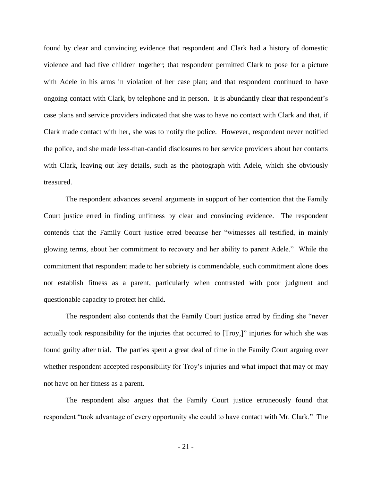found by clear and convincing evidence that respondent and Clark had a history of domestic violence and had five children together; that respondent permitted Clark to pose for a picture with Adele in his arms in violation of her case plan; and that respondent continued to have ongoing contact with Clark, by telephone and in person. It is abundantly clear that respondent's case plans and service providers indicated that she was to have no contact with Clark and that, if Clark made contact with her, she was to notify the police. However, respondent never notified the police, and she made less-than-candid disclosures to her service providers about her contacts with Clark, leaving out key details, such as the photograph with Adele, which she obviously treasured.

The respondent advances several arguments in support of her contention that the Family Court justice erred in finding unfitness by clear and convincing evidence. The respondent contends that the Family Court justice erred because her "witnesses all testified, in mainly glowing terms, about her commitment to recovery and her ability to parent Adele." While the commitment that respondent made to her sobriety is commendable, such commitment alone does not establish fitness as a parent, particularly when contrasted with poor judgment and questionable capacity to protect her child.

The respondent also contends that the Family Court justice erred by finding she "never actually took responsibility for the injuries that occurred to [Troy,]" injuries for which she was found guilty after trial. The parties spent a great deal of time in the Family Court arguing over whether respondent accepted responsibility for Troy's injuries and what impact that may or may not have on her fitness as a parent.

The respondent also argues that the Family Court justice erroneously found that respondent "took advantage of every opportunity she could to have contact with Mr. Clark." The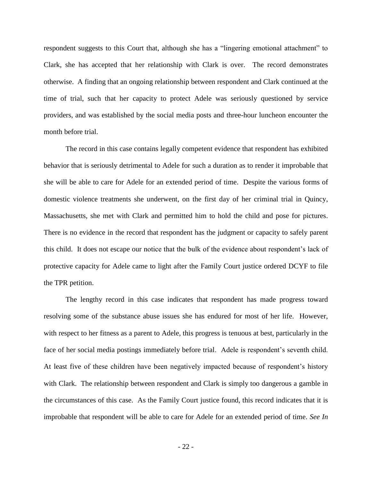respondent suggests to this Court that, although she has a "lingering emotional attachment" to Clark, she has accepted that her relationship with Clark is over. The record demonstrates otherwise. A finding that an ongoing relationship between respondent and Clark continued at the time of trial, such that her capacity to protect Adele was seriously questioned by service providers, and was established by the social media posts and three-hour luncheon encounter the month before trial.

The record in this case contains legally competent evidence that respondent has exhibited behavior that is seriously detrimental to Adele for such a duration as to render it improbable that she will be able to care for Adele for an extended period of time. Despite the various forms of domestic violence treatments she underwent, on the first day of her criminal trial in Quincy, Massachusetts, she met with Clark and permitted him to hold the child and pose for pictures. There is no evidence in the record that respondent has the judgment or capacity to safely parent this child. It does not escape our notice that the bulk of the evidence about respondent's lack of protective capacity for Adele came to light after the Family Court justice ordered DCYF to file the TPR petition.

The lengthy record in this case indicates that respondent has made progress toward resolving some of the substance abuse issues she has endured for most of her life. However, with respect to her fitness as a parent to Adele, this progress is tenuous at best, particularly in the face of her social media postings immediately before trial. Adele is respondent's seventh child. At least five of these children have been negatively impacted because of respondent's history with Clark. The relationship between respondent and Clark is simply too dangerous a gamble in the circumstances of this case. As the Family Court justice found, this record indicates that it is improbable that respondent will be able to care for Adele for an extended period of time. *See In*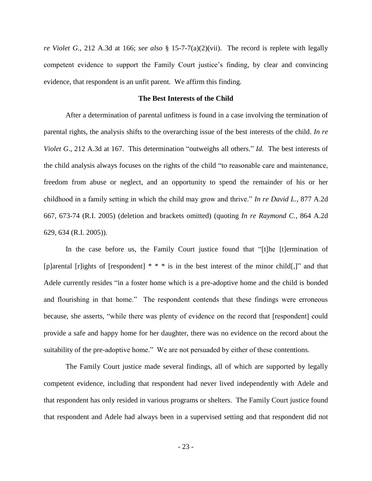*re Violet G.*, 212 A.3d at 166; *see also* § 15-7-7(a)(2)(vii). The record is replete with legally competent evidence to support the Family Court justice's finding, by clear and convincing evidence, that respondent is an unfit parent. We affirm this finding.

#### **The Best Interests of the Child**

After a determination of parental unfitness is found in a case involving the termination of parental rights, the analysis shifts to the overarching issue of the best interests of the child. *In re Violet G*., 212 A.3d at 167. This determination "outweighs all others." *Id.* The best interests of the child analysis always focuses on the rights of the child "to reasonable care and maintenance, freedom from abuse or neglect, and an opportunity to spend the remainder of his or her childhood in a family setting in which the child may grow and thrive." *In re David L.*, 877 A.2d 667, 673-74 (R.I. 2005) (deletion and brackets omitted) (quoting *In re Raymond C.*, 864 A.2d 629, 634 (R.I. 2005)).

In the case before us, the Family Court justice found that "[t]he [t]ermination of [p]arental [r]ights of [respondent] \* \* \* is in the best interest of the minor child[,]" and that Adele currently resides "in a foster home which is a pre-adoptive home and the child is bonded and flourishing in that home." The respondent contends that these findings were erroneous because, she asserts, "while there was plenty of evidence on the record that [respondent] could provide a safe and happy home for her daughter, there was no evidence on the record about the suitability of the pre-adoptive home." We are not persuaded by either of these contentions.

The Family Court justice made several findings, all of which are supported by legally competent evidence, including that respondent had never lived independently with Adele and that respondent has only resided in various programs or shelters. The Family Court justice found that respondent and Adele had always been in a supervised setting and that respondent did not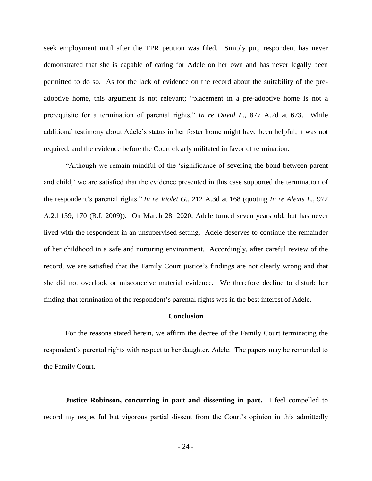seek employment until after the TPR petition was filed. Simply put, respondent has never demonstrated that she is capable of caring for Adele on her own and has never legally been permitted to do so. As for the lack of evidence on the record about the suitability of the preadoptive home, this argument is not relevant; "placement in a pre-adoptive home is not a prerequisite for a termination of parental rights." *In re David L.*, 877 A.2d at 673. While additional testimony about Adele's status in her foster home might have been helpful, it was not required, and the evidence before the Court clearly militated in favor of termination.

"Although we remain mindful of the 'significance of severing the bond between parent and child,' we are satisfied that the evidence presented in this case supported the termination of the respondent's parental rights." *In re Violet G.*, 212 A.3d at 168 (quoting *In re Alexis L.*, 972 A.2d 159, 170 (R.I. 2009)). On March 28, 2020, Adele turned seven years old, but has never lived with the respondent in an unsupervised setting. Adele deserves to continue the remainder of her childhood in a safe and nurturing environment. Accordingly, after careful review of the record, we are satisfied that the Family Court justice's findings are not clearly wrong and that she did not overlook or misconceive material evidence. We therefore decline to disturb her finding that termination of the respondent's parental rights was in the best interest of Adele.

#### **Conclusion**

For the reasons stated herein, we affirm the decree of the Family Court terminating the respondent's parental rights with respect to her daughter, Adele. The papers may be remanded to the Family Court.

**Justice Robinson, concurring in part and dissenting in part.** I feel compelled to record my respectful but vigorous partial dissent from the Court's opinion in this admittedly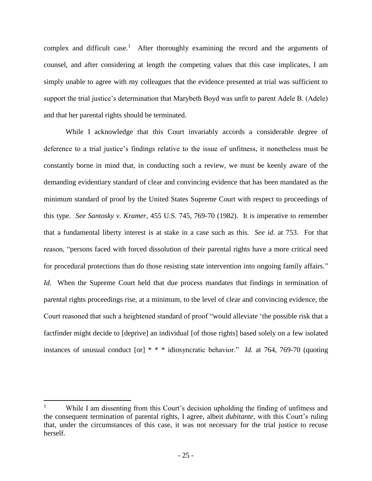complex and difficult case.<sup>1</sup> After thoroughly examining the record and the arguments of counsel, and after considering at length the competing values that this case implicates, I am simply unable to agree with my colleagues that the evidence presented at trial was sufficient to support the trial justice's determination that Marybeth Boyd was unfit to parent Adele B. (Adele) and that her parental rights should be terminated.

While I acknowledge that this Court invariably accords a considerable degree of deference to a trial justice's findings relative to the issue of unfitness, it nonetheless must be constantly borne in mind that, in conducting such a review, we must be keenly aware of the demanding evidentiary standard of clear and convincing evidence that has been mandated as the minimum standard of proof by the United States Supreme Court with respect to proceedings of this type. *See Santosky v. Kramer*, 455 U.S. 745, 769-70 (1982). It is imperative to remember that a fundamental liberty interest is at stake in a case such as this. *See id.* at 753.For that reason, "persons faced with forced dissolution of their parental rights have a more critical need for procedural protections than do those resisting state intervention into ongoing family affairs." *Id.* When the Supreme Court held that due process mandates that findings in termination of parental rights proceedings rise, at a minimum, to the level of clear and convincing evidence, the Court reasoned that such a heightened standard of proof "would alleviate 'the possible risk that a factfinder might decide to [deprive] an individual [of those rights] based solely on a few isolated instances of unusual conduct [or] \* \* \* idiosyncratic behavior." *Id.* at 764, 769-70 (quoting

While I am dissenting from this Court's decision upholding the finding of unfitness and the consequent termination of parental rights, I agree, albeit *dubitante*, with this Court's ruling that, under the circumstances of this case, it was not necessary for the trial justice to recuse herself.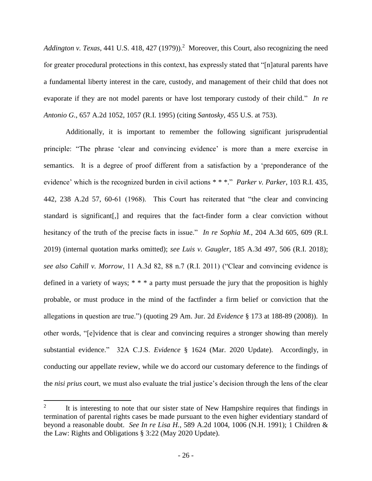Addington v. Texas, 441 U.S. 418, 427 (1979)).<sup>2</sup> Moreover, this Court, also recognizing the need for greater procedural protections in this context, has expressly stated that "[n]atural parents have a fundamental liberty interest in the care, custody, and management of their child that does not evaporate if they are not model parents or have lost temporary custody of their child." *In re Antonio G.*, 657 A.2d 1052, 1057 (R.I. 1995) (citing *Santosky*, 455 U.S. at 753).

Additionally, it is important to remember the following significant jurisprudential principle: "The phrase 'clear and convincing evidence' is more than a mere exercise in semantics. It is a degree of proof different from a satisfaction by a 'preponderance of the evidence' which is the recognized burden in civil actions \* \* \*." *Parker v. Parker*, 103 R.I. 435, 442, 238 A.2d 57, 60-61 (1968). This Court has reiterated that "the clear and convincing standard is significant[,] and requires that the fact-finder form a clear conviction without hesitancy of the truth of the precise facts in issue." *In re Sophia M.*, 204 A.3d 605, 609 (R.I. 2019) (internal quotation marks omitted); *see Luis v. Gaugler*, 185 A.3d 497, 506 (R.I. 2018); *see also Cahill v. Morrow*, 11 A.3d 82, 88 n.7 (R.I. 2011) ("Clear and convincing evidence is defined in a variety of ways; \* \* \* a party must persuade the jury that the proposition is highly probable, or must produce in the mind of the factfinder a firm belief or conviction that the allegations in question are true.") (quoting 29 Am. Jur. 2d *Evidence* § 173 at 188-89 (2008)). In other words, "[e]vidence that is clear and convincing requires a stronger showing than merely substantial evidence." 32A C.J.S. *Evidence* § 1624 (Mar. 2020 Update). Accordingly, in conducting our appellate review, while we do accord our customary deference to the findings of the *nisi prius* court, we must also evaluate the trial justice's decision through the lens of the clear

<sup>2</sup> It is interesting to note that our sister state of New Hampshire requires that findings in termination of parental rights cases be made pursuant to the even higher evidentiary standard of beyond a reasonable doubt. *See In re Lisa H.*, 589 A.2d 1004, 1006 (N.H. 1991); 1 Children & the Law: Rights and Obligations § 3:22 (May 2020 Update).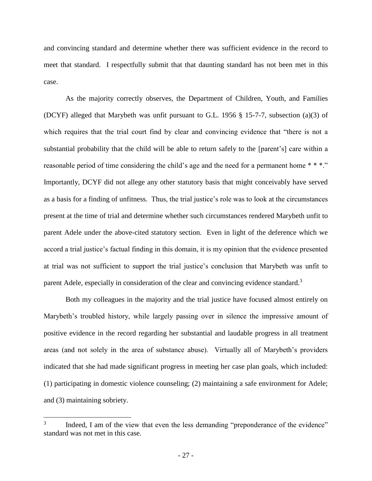and convincing standard and determine whether there was sufficient evidence in the record to meet that standard. I respectfully submit that that daunting standard has not been met in this case.

As the majority correctly observes, the Department of Children, Youth, and Families (DCYF) alleged that Marybeth was unfit pursuant to G.L. 1956 § 15-7-7, subsection (a)(3) of which requires that the trial court find by clear and convincing evidence that "there is not a substantial probability that the child will be able to return safely to the [parent's] care within a reasonable period of time considering the child's age and the need for a permanent home \* \* \*." Importantly, DCYF did not allege any other statutory basis that might conceivably have served as a basis for a finding of unfitness. Thus, the trial justice's role was to look at the circumstances present at the time of trial and determine whether such circumstances rendered Marybeth unfit to parent Adele under the above-cited statutory section. Even in light of the deference which we accord a trial justice's factual finding in this domain, it is my opinion that the evidence presented at trial was not sufficient to support the trial justice's conclusion that Marybeth was unfit to parent Adele, especially in consideration of the clear and convincing evidence standard.<sup>3</sup>

Both my colleagues in the majority and the trial justice have focused almost entirely on Marybeth's troubled history, while largely passing over in silence the impressive amount of positive evidence in the record regarding her substantial and laudable progress in all treatment areas (and not solely in the area of substance abuse). Virtually all of Marybeth's providers indicated that she had made significant progress in meeting her case plan goals, which included: (1) participating in domestic violence counseling; (2) maintaining a safe environment for Adele; and (3) maintaining sobriety.

<sup>3</sup> Indeed, I am of the view that even the less demanding "preponderance of the evidence" standard was not met in this case.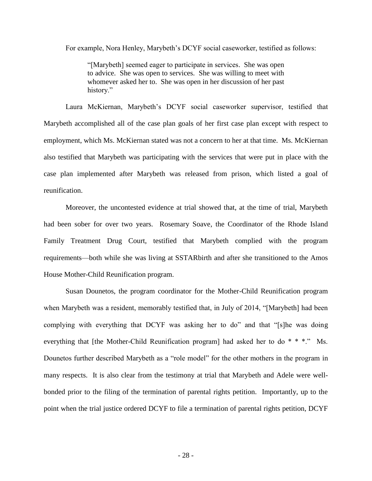For example, Nora Henley, Marybeth's DCYF social caseworker, testified as follows:

"[Marybeth] seemed eager to participate in services. She was open to advice. She was open to services. She was willing to meet with whomever asked her to. She was open in her discussion of her past history."

Laura McKiernan, Marybeth's DCYF social caseworker supervisor, testified that Marybeth accomplished all of the case plan goals of her first case plan except with respect to employment, which Ms. McKiernan stated was not a concern to her at that time. Ms. McKiernan also testified that Marybeth was participating with the services that were put in place with the case plan implemented after Marybeth was released from prison, which listed a goal of reunification.

Moreover, the uncontested evidence at trial showed that, at the time of trial, Marybeth had been sober for over two years. Rosemary Soave, the Coordinator of the Rhode Island Family Treatment Drug Court, testified that Marybeth complied with the program requirements—both while she was living at SSTARbirth and after she transitioned to the Amos House Mother-Child Reunification program.

Susan Dounetos, the program coordinator for the Mother-Child Reunification program when Marybeth was a resident, memorably testified that, in July of 2014, "[Marybeth] had been complying with everything that DCYF was asking her to do" and that "[s]he was doing everything that [the Mother-Child Reunification program] had asked her to do \* \* \*." Ms. Dounetos further described Marybeth as a "role model" for the other mothers in the program in many respects. It is also clear from the testimony at trial that Marybeth and Adele were wellbonded prior to the filing of the termination of parental rights petition. Importantly, up to the point when the trial justice ordered DCYF to file a termination of parental rights petition, DCYF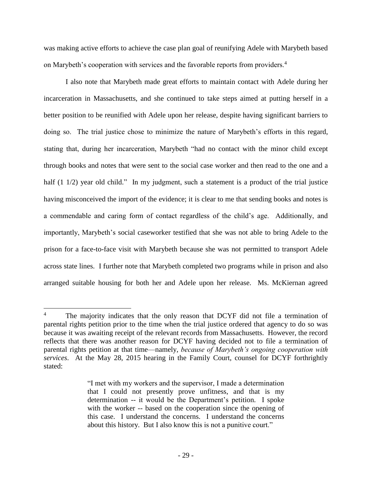was making active efforts to achieve the case plan goal of reunifying Adele with Marybeth based on Marybeth's cooperation with services and the favorable reports from providers.<sup>4</sup>

I also note that Marybeth made great efforts to maintain contact with Adele during her incarceration in Massachusetts, and she continued to take steps aimed at putting herself in a better position to be reunified with Adele upon her release, despite having significant barriers to doing so. The trial justice chose to minimize the nature of Marybeth's efforts in this regard, stating that, during her incarceration, Marybeth "had no contact with the minor child except through books and notes that were sent to the social case worker and then read to the one and a half (1 1/2) year old child." In my judgment, such a statement is a product of the trial justice having misconceived the import of the evidence; it is clear to me that sending books and notes is a commendable and caring form of contact regardless of the child's age. Additionally, and importantly, Marybeth's social caseworker testified that she was not able to bring Adele to the prison for a face-to-face visit with Marybeth because she was not permitted to transport Adele across state lines. I further note that Marybeth completed two programs while in prison and also arranged suitable housing for both her and Adele upon her release. Ms. McKiernan agreed

 $\overline{a}$ <sup>4</sup> The majority indicates that the only reason that DCYF did not file a termination of parental rights petition prior to the time when the trial justice ordered that agency to do so was because it was awaiting receipt of the relevant records from Massachusetts. However, the record reflects that there was another reason for DCYF having decided not to file a termination of parental rights petition at that time—namely, *because of Marybeth's ongoing cooperation with services*. At the May 28, 2015 hearing in the Family Court, counsel for DCYF forthrightly stated:

<sup>&</sup>quot;I met with my workers and the supervisor, I made a determination that I could not presently prove unfitness, and that is my determination -- it would be the Department's petition. I spoke with the worker -- based on the cooperation since the opening of this case. I understand the concerns. I understand the concerns about this history. But I also know this is not a punitive court."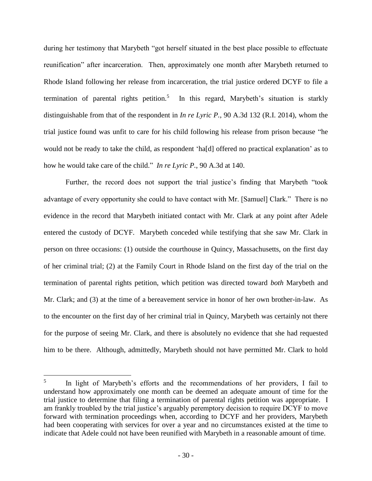during her testimony that Marybeth "got herself situated in the best place possible to effectuate reunification" after incarceration. Then, approximately one month after Marybeth returned to Rhode Island following her release from incarceration, the trial justice ordered DCYF to file a termination of parental rights petition.<sup>5</sup> In this regard, Marybeth's situation is starkly distinguishable from that of the respondent in *In re Lyric P.*, 90 A.3d 132 (R.I. 2014), whom the trial justice found was unfit to care for his child following his release from prison because "he would not be ready to take the child, as respondent 'ha[d] offered no practical explanation' as to how he would take care of the child." *In re Lyric P.*, 90 A.3d at 140.

Further, the record does not support the trial justice's finding that Marybeth "took advantage of every opportunity she could to have contact with Mr. [Samuel] Clark." There is no evidence in the record that Marybeth initiated contact with Mr. Clark at any point after Adele entered the custody of DCYF. Marybeth conceded while testifying that she saw Mr. Clark in person on three occasions: (1) outside the courthouse in Quincy, Massachusetts, on the first day of her criminal trial; (2) at the Family Court in Rhode Island on the first day of the trial on the termination of parental rights petition, which petition was directed toward *both* Marybeth and Mr. Clark; and (3) at the time of a bereavement service in honor of her own brother-in-law. As to the encounter on the first day of her criminal trial in Quincy, Marybeth was certainly not there for the purpose of seeing Mr. Clark, and there is absolutely no evidence that she had requested him to be there. Although, admittedly, Marybeth should not have permitted Mr. Clark to hold

<sup>5</sup> In light of Marybeth's efforts and the recommendations of her providers, I fail to understand how approximately one month can be deemed an adequate amount of time for the trial justice to determine that filing a termination of parental rights petition was appropriate. I am frankly troubled by the trial justice's arguably peremptory decision to require DCYF to move forward with termination proceedings when, according to DCYF and her providers, Marybeth had been cooperating with services for over a year and no circumstances existed at the time to indicate that Adele could not have been reunified with Marybeth in a reasonable amount of time.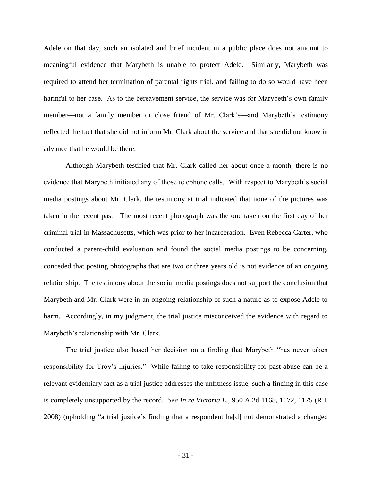Adele on that day, such an isolated and brief incident in a public place does not amount to meaningful evidence that Marybeth is unable to protect Adele. Similarly, Marybeth was required to attend her termination of parental rights trial, and failing to do so would have been harmful to her case. As to the bereavement service, the service was for Marybeth's own family member—not a family member or close friend of Mr. Clark's—and Marybeth's testimony reflected the fact that she did not inform Mr. Clark about the service and that she did not know in advance that he would be there.

Although Marybeth testified that Mr. Clark called her about once a month, there is no evidence that Marybeth initiated any of those telephone calls. With respect to Marybeth's social media postings about Mr. Clark, the testimony at trial indicated that none of the pictures was taken in the recent past. The most recent photograph was the one taken on the first day of her criminal trial in Massachusetts, which was prior to her incarceration. Even Rebecca Carter, who conducted a parent-child evaluation and found the social media postings to be concerning, conceded that posting photographs that are two or three years old is not evidence of an ongoing relationship. The testimony about the social media postings does not support the conclusion that Marybeth and Mr. Clark were in an ongoing relationship of such a nature as to expose Adele to harm. Accordingly, in my judgment, the trial justice misconceived the evidence with regard to Marybeth's relationship with Mr. Clark.

The trial justice also based her decision on a finding that Marybeth "has never taken responsibility for Troy's injuries." While failing to take responsibility for past abuse can be a relevant evidentiary fact as a trial justice addresses the unfitness issue, such a finding in this case is completely unsupported by the record. *See In re Victoria L.*, 950 A.2d 1168, 1172, 1175 (R.I. 2008) (upholding "a trial justice's finding that a respondent ha[d] not demonstrated a changed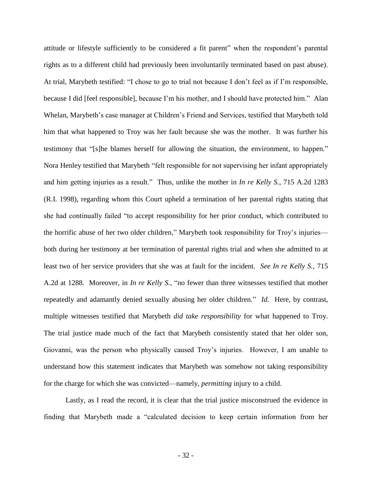attitude or lifestyle sufficiently to be considered a fit parent" when the respondent's parental rights as to a different child had previously been involuntarily terminated based on past abuse). At trial, Marybeth testified: "I chose to go to trial not because I don't feel as if I'm responsible, because I did [feel responsible], because I'm his mother, and I should have protected him." Alan Whelan, Marybeth's case manager at Children's Friend and Services, testified that Marybeth told him that what happened to Troy was her fault because she was the mother. It was further his testimony that "[s]he blames herself for allowing the situation, the environment, to happen." Nora Henley testified that Marybeth "felt responsible for not supervising her infant appropriately and him getting injuries as a result." Thus, unlike the mother in *In re Kelly S.*, 715 A.2d 1283 (R.I. 1998), regarding whom this Court upheld a termination of her parental rights stating that she had continually failed "to accept responsibility for her prior conduct, which contributed to the horrific abuse of her two older children," Marybeth took responsibility for Troy's injuries both during her testimony at her termination of parental rights trial and when she admitted to at least two of her service providers that she was at fault for the incident. *See In re Kelly S.*, 715 A.2d at 1288. Moreover, in *In re Kelly S.*, "no fewer than three witnesses testified that mother repeatedly and adamantly denied sexually abusing her older children." *Id.* Here, by contrast, multiple witnesses testified that Marybeth *did take responsibility* for what happened to Troy. The trial justice made much of the fact that Marybeth consistently stated that her older son, Giovanni, was the person who physically caused Troy's injuries. However, I am unable to understand how this statement indicates that Marybeth was somehow not taking responsibility for the charge for which she was convicted—namely, *permitting* injury to a child.

Lastly, as I read the record, it is clear that the trial justice misconstrued the evidence in finding that Marybeth made a "calculated decision to keep certain information from her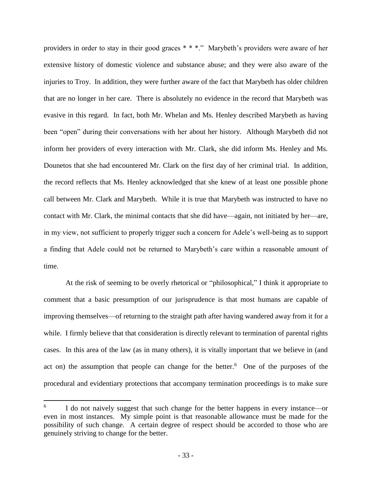providers in order to stay in their good graces \* \* \*." Marybeth's providers were aware of her extensive history of domestic violence and substance abuse; and they were also aware of the injuries to Troy. In addition, they were further aware of the fact that Marybeth has older children that are no longer in her care. There is absolutely no evidence in the record that Marybeth was evasive in this regard. In fact, both Mr. Whelan and Ms. Henley described Marybeth as having been "open" during their conversations with her about her history. Although Marybeth did not inform her providers of every interaction with Mr. Clark, she did inform Ms. Henley and Ms. Dounetos that she had encountered Mr. Clark on the first day of her criminal trial. In addition, the record reflects that Ms. Henley acknowledged that she knew of at least one possible phone call between Mr. Clark and Marybeth. While it is true that Marybeth was instructed to have no contact with Mr. Clark, the minimal contacts that she did have—again, not initiated by her—are, in my view, not sufficient to properly trigger such a concern for Adele's well-being as to support a finding that Adele could not be returned to Marybeth's care within a reasonable amount of time.

At the risk of seeming to be overly rhetorical or "philosophical," I think it appropriate to comment that a basic presumption of our jurisprudence is that most humans are capable of improving themselves—of returning to the straight path after having wandered away from it for a while. I firmly believe that that consideration is directly relevant to termination of parental rights cases. In this area of the law (as in many others), it is vitally important that we believe in (and act on) the assumption that people can change for the better.<sup>6</sup> One of the purposes of the procedural and evidentiary protections that accompany termination proceedings is to make sure

<sup>6</sup> I do not naively suggest that such change for the better happens in every instance—or even in most instances. My simple point is that reasonable allowance must be made for the possibility of such change. A certain degree of respect should be accorded to those who are genuinely striving to change for the better.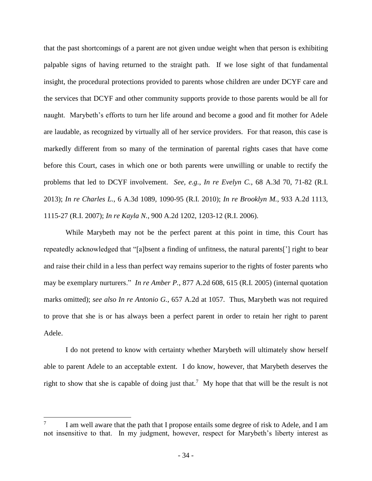that the past shortcomings of a parent are not given undue weight when that person is exhibiting palpable signs of having returned to the straight path. If we lose sight of that fundamental insight, the procedural protections provided to parents whose children are under DCYF care and the services that DCYF and other community supports provide to those parents would be all for naught. Marybeth's efforts to turn her life around and become a good and fit mother for Adele are laudable, as recognized by virtually all of her service providers. For that reason, this case is markedly different from so many of the termination of parental rights cases that have come before this Court, cases in which one or both parents were unwilling or unable to rectify the problems that led to DCYF involvement. *See, e.g.*, *In re Evelyn C.*, 68 A.3d 70, 71-82 (R.I. 2013); *In re Charles L.*, 6 A.3d 1089, 1090-95 (R.I. 2010); *In re Brooklyn M.*, 933 A.2d 1113, 1115-27 (R.I. 2007); *In re Kayla N.*, 900 A.2d 1202, 1203-12 (R.I. 2006).

While Marybeth may not be the perfect parent at this point in time, this Court has repeatedly acknowledged that "[a]bsent a finding of unfitness, the natural parents['] right to bear and raise their child in a less than perfect way remains superior to the rights of foster parents who may be exemplary nurturers." *In re Amber P.*, 877 A.2d 608, 615 (R.I. 2005) (internal quotation marks omitted); *see also In re Antonio G.*, 657 A.2d at 1057. Thus, Marybeth was not required to prove that she is or has always been a perfect parent in order to retain her right to parent Adele.

I do not pretend to know with certainty whether Marybeth will ultimately show herself able to parent Adele to an acceptable extent. I do know, however, that Marybeth deserves the right to show that she is capable of doing just that.<sup>7</sup> My hope that that will be the result is not

<sup>7</sup> I am well aware that the path that I propose entails some degree of risk to Adele, and I am not insensitive to that. In my judgment, however, respect for Marybeth's liberty interest as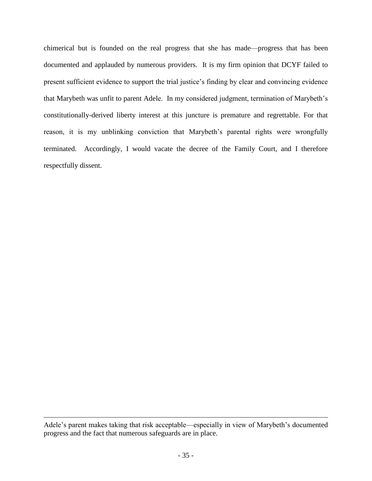chimerical but is founded on the real progress that she has made—progress that has been documented and applauded by numerous providers. It is my firm opinion that DCYF failed to present sufficient evidence to support the trial justice's finding by clear and convincing evidence that Marybeth was unfit to parent Adele. In my considered judgment, termination of Marybeth's constitutionally-derived liberty interest at this juncture is premature and regrettable. For that reason, it is my unblinking conviction that Marybeth's parental rights were wrongfully terminated. Accordingly, I would vacate the decree of the Family Court, and I therefore respectfully dissent.

Adele's parent makes taking that risk acceptable—especially in view of Marybeth's documented progress and the fact that numerous safeguards are in place.